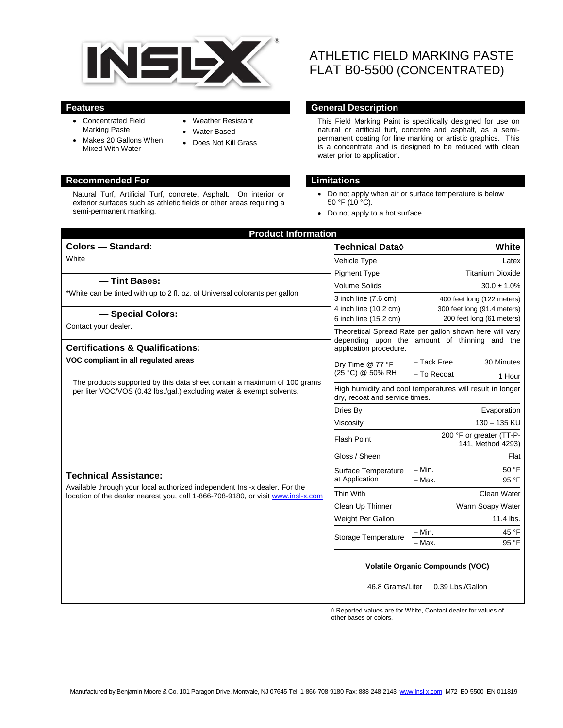

- Concentrated Field Marking Paste
- Makes 20 Gallons When Mixed With Water
- Weather Resistant
- Water Based
- Does Not Kill Grass

#### **Recommended For Limitations**

Natural Turf, Artificial Turf, concrete, Asphalt. On interior or exterior surfaces such as athletic fields or other areas requiring a semi-permanent marking.

# ATHLETIC FIELD MARKING PASTE FLAT B0-5500 (CONCENTRATED)

#### **Features General Description**

This Field Marking Paint is specifically designed for use on natural or artificial turf, concrete and asphalt, as a semipermanent coating for line marking or artistic graphics. This is a concentrate and is designed to be reduced with clean water prior to application.

- Do not apply when air or surface temperature is below  $50 °F (10 °C)$ .
- Do not apply to a hot surface.

| <b>Product Information</b>                                                                                                                                                                     |                                                                                             |                                                             |
|------------------------------------------------------------------------------------------------------------------------------------------------------------------------------------------------|---------------------------------------------------------------------------------------------|-------------------------------------------------------------|
| <b>Colors - Standard:</b>                                                                                                                                                                      | Technical Data $\Diamond$                                                                   | White                                                       |
| White                                                                                                                                                                                          | Vehicle Type                                                                                | Latex                                                       |
| -Tint Bases:                                                                                                                                                                                   | <b>Pigment Type</b>                                                                         | <b>Titanium Dioxide</b>                                     |
| *White can be tinted with up to 2 fl. oz. of Universal colorants per gallon                                                                                                                    | <b>Volume Solids</b>                                                                        | $30.0 \pm 1.0\%$                                            |
|                                                                                                                                                                                                | 3 inch line (7.6 cm)                                                                        | 400 feet long (122 meters)                                  |
| - Special Colors:                                                                                                                                                                              | 4 inch line (10.2 cm)                                                                       | 300 feet long (91.4 meters)<br>200 feet long (61 meters)    |
| Contact your dealer.                                                                                                                                                                           | 6 inch line (15.2 cm)                                                                       | Theoretical Spread Rate per gallon shown here will vary     |
|                                                                                                                                                                                                |                                                                                             | depending upon the amount of thinning and the               |
| <b>Certifications &amp; Qualifications:</b>                                                                                                                                                    | application procedure.                                                                      |                                                             |
| VOC compliant in all regulated areas<br>The products supported by this data sheet contain a maximum of 100 grams<br>per liter VOC/VOS (0.42 lbs./gal.) excluding water & exempt solvents.      | Dry Time @ 77 °F<br>(25 °C) @ 50% RH                                                        | 30 Minutes<br>- Tack Free                                   |
|                                                                                                                                                                                                |                                                                                             | - To Recoat<br>1 Hour                                       |
|                                                                                                                                                                                                | High humidity and cool temperatures will result in longer<br>dry, recoat and service times. |                                                             |
|                                                                                                                                                                                                | Dries By                                                                                    | Evaporation                                                 |
|                                                                                                                                                                                                | Viscosity                                                                                   | 130 - 135 KU                                                |
|                                                                                                                                                                                                | <b>Flash Point</b>                                                                          | 200 °F or greater (TT-P-<br>141, Method 4293)               |
|                                                                                                                                                                                                | Gloss / Sheen                                                                               | Flat                                                        |
| <b>Technical Assistance:</b><br>Available through your local authorized independent Insl-x dealer. For the<br>location of the dealer nearest you, call 1-866-708-9180, or visit www.insl-x.com | Surface Temperature<br>at Application                                                       | $- Min.$<br>50 °F                                           |
|                                                                                                                                                                                                |                                                                                             | 95 °F<br>$-$ Max.                                           |
|                                                                                                                                                                                                | Thin With                                                                                   | Clean Water                                                 |
|                                                                                                                                                                                                | Clean Up Thinner                                                                            | Warm Soapy Water                                            |
|                                                                                                                                                                                                | Weight Per Gallon                                                                           | 11.4 lbs.                                                   |
|                                                                                                                                                                                                | Storage Temperature                                                                         | 45 °F<br>- Min.                                             |
|                                                                                                                                                                                                |                                                                                             | 95 °F<br>$-$ Max.                                           |
|                                                                                                                                                                                                | 46.8 Grams/Liter                                                                            | <b>Volatile Organic Compounds (VOC)</b><br>0.39 Lbs./Gallon |

 ◊ Reported values are for White, Contact dealer for values of other bases or colors.